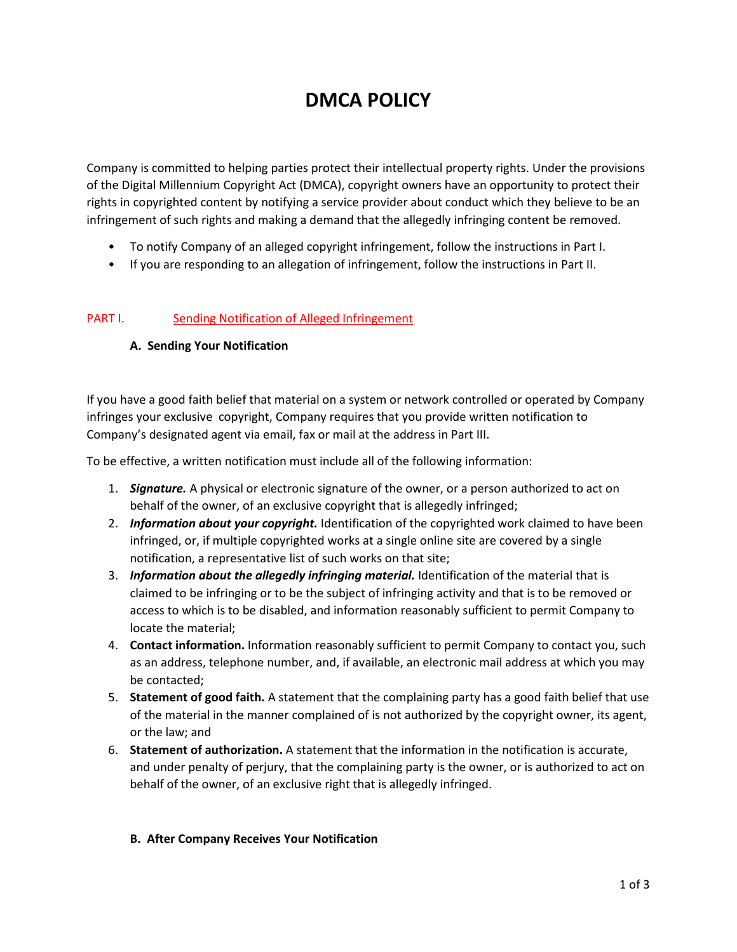# **DMCA POLICY**

Company is committed to helping parties protect their intellectual property rights. Under the provisions of the Digital Millennium Copyright Act (DMCA), copyright owners have an opportunity to protect their rights in copyrighted content by notifying a service provider about conduct which they believe to be an infringement of such rights and making a demand that the allegedly infringing content be removed.

- To notify Company of an alleged copyright infringement, follow the instructions in Part I.
- If you are responding to an allegation of infringement, follow the instructions in Part II.

#### PART I. Sending Notification of Alleged Infringement

#### **A. Sending Your Notification**

If you have a good faith belief that material on a system or network controlled or operated by Company infringes your exclusive copyright, Company requires that you provide written notification to Company's designated agent via email, fax or mail at the address in Part III.

To be effective, a written notification must include all of the following information:

- 1. *Signature.* A physical or electronic signature of the owner, or a person authorized to act on behalf of the owner, of an exclusive copyright that is allegedly infringed;
- 2. *Information about your copyright.* Identification of the copyrighted work claimed to have been infringed, or, if multiple copyrighted works at a single online site are covered by a single notification, a representative list of such works on that site;
- 3. *Information about the allegedly infringing material.* Identification of the material that is claimed to be infringing or to be the subject of infringing activity and that is to be removed or access to which is to be disabled, and information reasonably sufficient to permit Company to locate the material;
- 4. **Contact information.** Information reasonably sufficient to permit Company to contact you, such as an address, telephone number, and, if available, an electronic mail address at which you may be contacted;
- 5. **Statement of good faith.** A statement that the complaining party has a good faith belief that use of the material in the manner complained of is not authorized by the copyright owner, its agent, or the law; and
- 6. **Statement of authorization.** A statement that the information in the notification is accurate, and under penalty of perjury, that the complaining party is the owner, or is authorized to act on behalf of the owner, of an exclusive right that is allegedly infringed.

#### **B. After Company Receives Your Notification**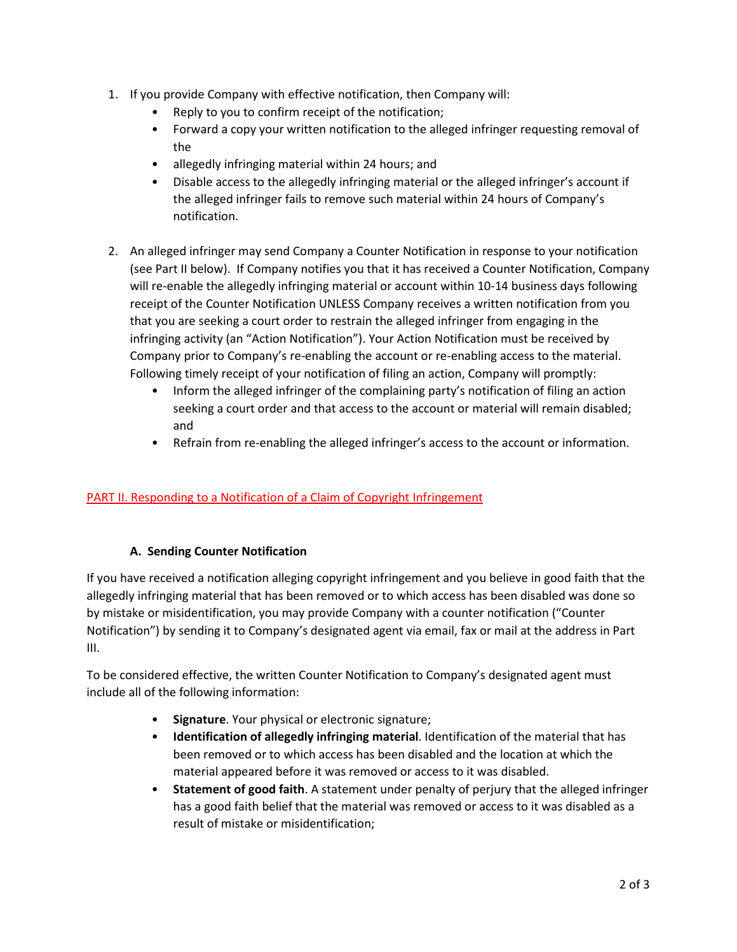- 1. If you provide Company with effective notification, then Company will:
	- Reply to you to confirm receipt of the notification;
	- Forward a copy your written notification to the alleged infringer requesting removal of the
	- allegedly infringing material within 24 hours; and
	- Disable access to the allegedly infringing material or the alleged infringer's account if the alleged infringer fails to remove such material within 24 hours of Company's notification.
- 2. An alleged infringer may send Company a Counter Notification in response to your notification (see Part II below). If Company notifies you that it has received a Counter Notification, Company will re-enable the allegedly infringing material or account within 10-14 business days following receipt of the Counter Notification UNLESS Company receives a written notification from you that you are seeking a court order to restrain the alleged infringer from engaging in the infringing activity (an "Action Notification"). Your Action Notification must be received by Company prior to Company's re-enabling the account or re-enabling access to the material. Following timely receipt of your notification of filing an action, Company will promptly:
	- Inform the alleged infringer of the complaining party's notification of filing an action seeking a court order and that access to the account or material will remain disabled; and
	- Refrain from re-enabling the alleged infringer's access to the account or information.

# PART II. Responding to a Notification of a Claim of Copyright Infringement

# **A. Sending Counter Notification**

If you have received a notification alleging copyright infringement and you believe in good faith that the allegedly infringing material that has been removed or to which access has been disabled was done so by mistake or misidentification, you may provide Company with a counter notification ("Counter Notification") by sending it to Company's designated agent via email, fax or mail at the address in Part III.

To be considered effective, the written Counter Notification to Company's designated agent must include all of the following information:

- **Signature**. Your physical or electronic signature;
- **Identification of allegedly infringing material**. Identification of the material that has been removed or to which access has been disabled and the location at which the material appeared before it was removed or access to it was disabled.
- **Statement of good faith**. A statement under penalty of perjury that the alleged infringer has a good faith belief that the material was removed or access to it was disabled as a result of mistake or misidentification;